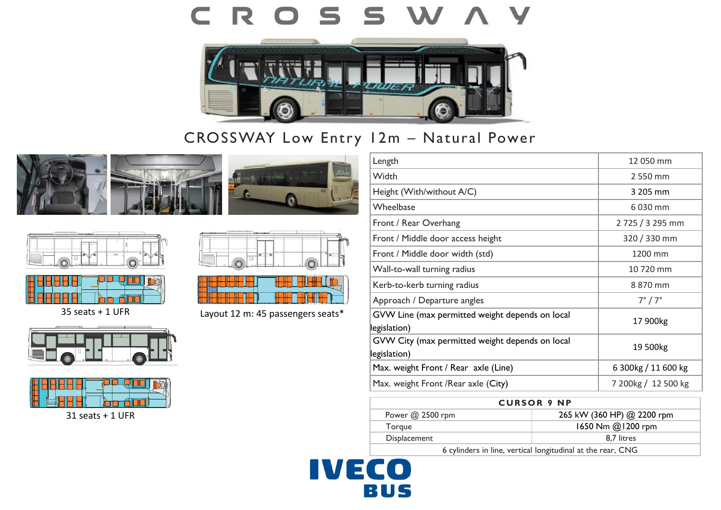### CROSS W **V**



## CROSSWAY Low Entry 12m – Natural Power











35 seats + 1 UFR





31 seats + 1 UFR





Layout 12 m: 45 passengers seats\*

| Length                                                          | 12 050 mm           |
|-----------------------------------------------------------------|---------------------|
| Width                                                           | 2 550 mm            |
| Height (With/without A/C)                                       | 3 205 mm            |
| Wheelbase                                                       | 6 030 mm            |
| Front / Rear Overhang                                           | 2725 / 3295 mm      |
| Front / Middle door access height                               | 320 / 330 mm        |
| Front / Middle door width (std)                                 | 1200 mm             |
| Wall-to-wall turning radius                                     | 10 720 mm           |
| Kerb-to-kerb turning radius                                     | 8 870 mm            |
| Approach / Departure angles                                     | $7^\circ / 7^\circ$ |
| GVW Line (max permitted weight depends on local<br>legislation) | 17 900kg            |
| GVW City (max permitted weight depends on local<br>legislation) | 19 500kg            |
| Max. weight Front / Rear axle (Line)                            | 6 300kg / 11 600 kg |
| Max. weight Front /Rear axle (City)                             | 7 200kg / 12 500 kg |

| <b>CURSOR 9 NP</b>                                         |                            |
|------------------------------------------------------------|----------------------------|
| Power $@$ 2500 rpm                                         | 265 kW (360 HP) @ 2200 rpm |
| Torgue                                                     | 1650 Nm @1200 rpm          |
| Displacement                                               | 8.7 litres                 |
| 6 cylinders in line vertical longitudinal at the rear. CNG |                            |